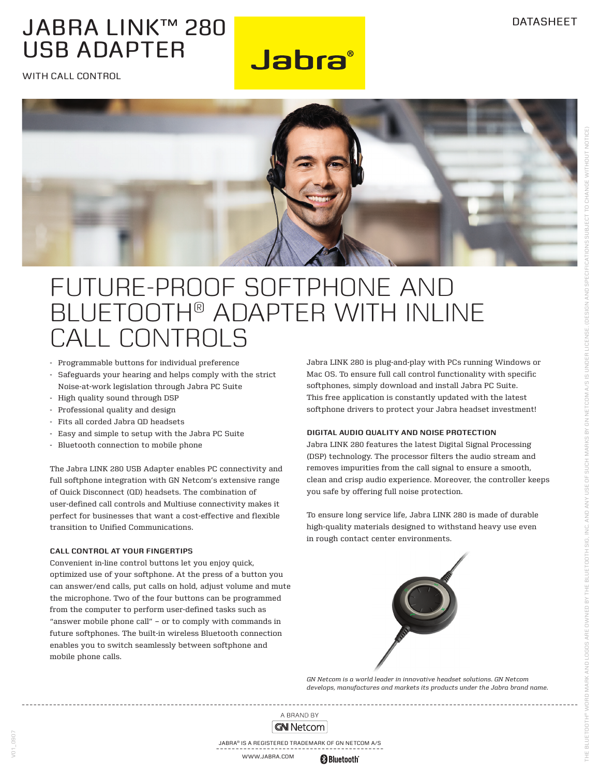### JABRA LINK™ 280 USB ADAPTER

WITH CALL CONTROL



**Jabra**®

# Future-proof softphone and bluetooth® adapter with inline call controls

- Programmable buttons for individual preference
- Safeguards your hearing and helps comply with the strict Noise-at-work legislation through Jabra PC Suite
- High quality sound through DSP
- Professional quality and design
- Fits all corded Jabra OD headsets
- Easy and simple to setup with the Jabra PC Suite
- Bluetooth connection to mobile phone

The Jabra LINK 280 USB Adapter enables PC connectivity and full softphone integration with GN Netcom's extensive range of Quick Disconnect (QD) headsets. The combination of user-defined call controls and Multiuse connectivity makes it perfect for businesses that want a cost-effective and flexible transition to Unified Communications.

#### **Call control at your fingertips**

V01\_0907

Convenient in-line control buttons let you enjoy quick, optimized use of your softphone. At the press of a button you can answer/end calls, put calls on hold, adjust volume and mute the microphone. Two of the four buttons can be programmed from the computer to perform user-defined tasks such as "answer mobile phone call" – or to comply with commands in future softphones. The built-in wireless Bluetooth connection enables you to switch seamlessly between softphone and mobile phone calls.

Jabra LINK 280 is plug-and-play with PCs running Windows or Mac OS. To ensure full call control functionality with specific softphones, simply download and install Jabra PC Suite. This free application is constantly updated with the latest softphone drivers to protect your Jabra headset investment!

#### **Digital audio quality and noise protection**

Jabra LINK 280 features the latest Digital Signal Processing (DSP) technology. The processor filters the audio stream and removes impurities from the call signal to ensure a smooth, clean and crisp audio experience. Moreover, the controller keeps you safe by offering full noise protection.

To ensure long service life, Jabra LINK 280 is made of durable high-quality materials designed to withstand heavy use even in rough contact center environments.



*GN Netcom is a world leader in innovative headset solutions. GN Netcom develops, manufactures and markets its products under the Jabra brand name.*

A BRAND BY **GN** Netcom

Jabra® is a registered trademark of GN Netcom A/S

www.jabra.com **Bluetooth**